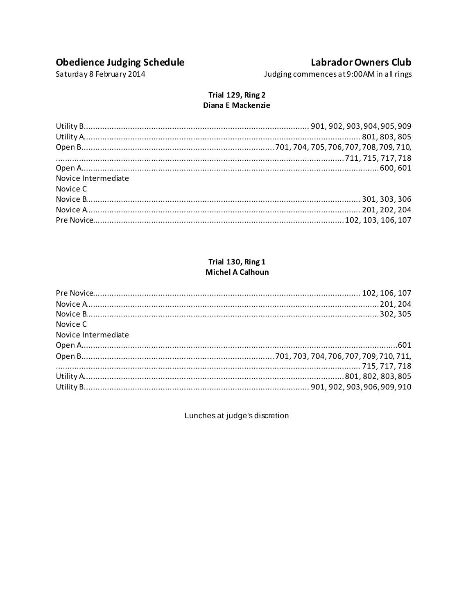# **Obedience Judging Schedule**

## **Labrador Owners Club**

Saturday 8 February 2014

Judging commences at 9:00AM in all rings

#### Trial 129, Ring 2 Diana E Mackenzie

| Novice Intermediate |  |
|---------------------|--|
| Novice C            |  |
|                     |  |
|                     |  |
|                     |  |
|                     |  |

#### Trial 130, Ring 1 **Michel A Calhoun**

| Novice C            |  |
|---------------------|--|
| Novice Intermediate |  |
|                     |  |
|                     |  |
|                     |  |
|                     |  |
|                     |  |

Lunches at judge's discretion